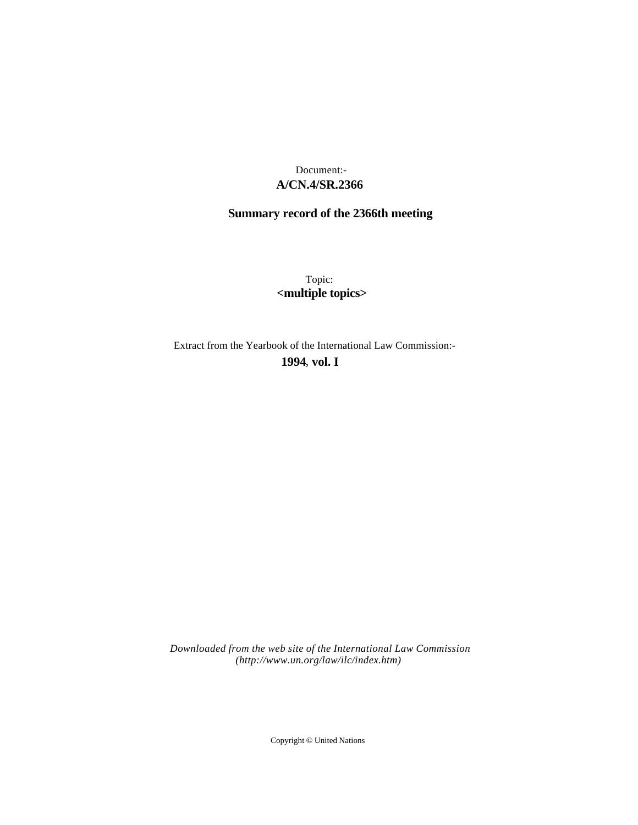# **A/CN.4/SR.2366** Document:-

# **Summary record of the 2366th meeting**

Topic: **<multiple topics>**

Extract from the Yearbook of the International Law Commission:-

**1994** , **vol. I**

*Downloaded from the web site of the International Law Commission (http://www.un.org/law/ilc/index.htm)*

Copyright © United Nations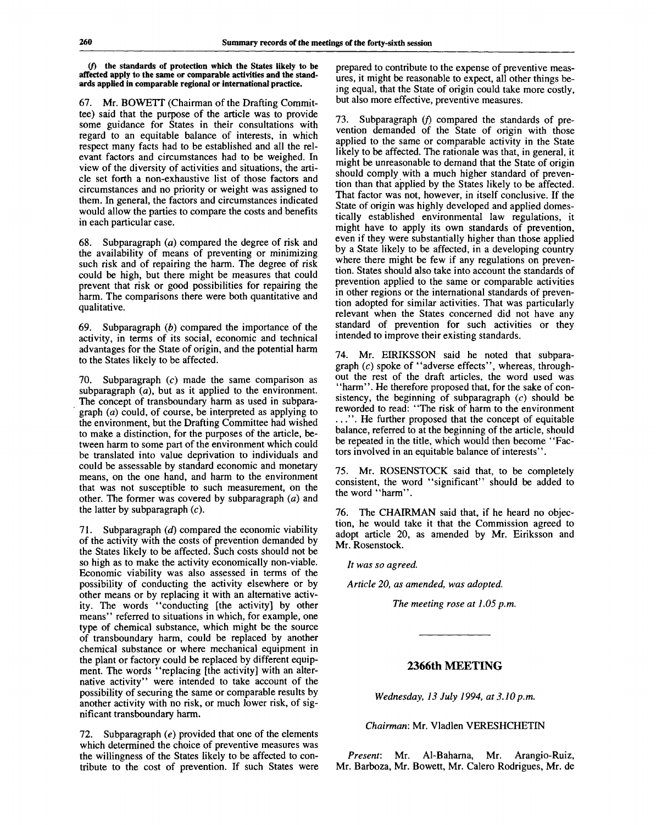**(/) the standards of protection which the States likely to be affected apply to the same or comparable activities and the standards applied in comparable regional or international practice.**

67. Mr. BOWETT (Chairman of the Drafting Committee) said that the purpose of the article was to provide some guidance for States in their consultations with regard to an equitable balance of interests, in which respect many facts had to be established and all the relevant factors and circumstances had to be weighed. In view of the diversity of activities and situations, the article set forth a non-exhaustive list of those factors and circumstances and no priority or weight was assigned to them. In general, the factors and circumstances indicated would allow the parties to compare the costs and benefits in each particular case.

68. Subparagraph *(a)* compared the degree of risk and the availability of means of preventing or minimizing such risk and of repairing the harm. The degree of risk could be high, but there might be measures that could prevent that risk or good possibilities for repairing the harm. The comparisons there were both quantitative and qualitative.

69. Subparagraph *(b)* compared the importance of the activity, in terms of its social, economic and technical advantages for the State of origin, and the potential harm to the States likely to be affected.

70. Subparagraph (c) made the same comparison as subparagraph  $(a)$ , but as it applied to the environment. The concept of transboundary harm as used in subparagraph *(a)* could, of course, be interpreted as applying to the environment, but the Drafting Committee had wished to make a distinction, for the purposes of the article, between harm to some part of the environment which could be translated into value deprivation to individuals and could be assessable by standard economic and monetary means, on the one hand, and harm to the environment that was not susceptible to such measurement, on the other. The former was covered by subparagraph *(a)* and the latter by subparagraph  $(c)$ .

71. Subparagraph *(d)* compared the economic viability of the activity with the costs of prevention demanded by the States likely to be affected. Such costs should not be so high as to make the activity economically non-viable. Economic viability was also assessed in terms of the possibility of conducting the activity elsewhere or by other means or by replacing it with an alternative activity. The words "conducting [the activity] by other means" referred to situations in which, for example, one type of chemical substance, which might be the source of transboundary harm, could be replaced by another chemical substance or where mechanical equipment in the plant or factory could be replaced by different equipment. The words "replacing [the activity] with an alternative activity" were intended to take account of the possibility of securing the same or comparable results by another activity with no risk, or much lower risk, of significant transboundary harm.

72. Subparagraph *(e)* provided that one of the elements which determined the choice of preventive measures was the willingness of the States likely to be affected to contribute to the cost of prevention. If such States were

prepared to contribute to the expense of preventive measures, it might be reasonable to expect, all other things being equal, that the State of origin could take more costly, but also more effective, preventive measures.

73. Subparagraph  $(f)$  compared the standards of prevention demanded of the State of origin with those applied to the same or comparable activity in the State likely to be affected. The rationale was that, in general, it might be unreasonable to demand that the State of origin should comply with a much higher standard of prevention than that applied by the States likely to be affected. That factor was not, however, in itself conclusive. If the State of origin was highly developed and applied domestically established environmental law regulations, it might have to apply its own standards of prevention, even if they were substantially higher than those applied by a State likely to be affected, in a developing country where there might be few if any regulations on prevention. States should also take into account the standards of prevention applied to the same or comparable activities in other regions or the international standards of prevention adopted for similar activities. That was particularly relevant when the States concerned did not have any standard of prevention for such activities or they intended to improve their existing standards.

74. Mr. EIRIKSSON said he noted that subparagraph *(c)* spoke of "adverse effects", whereas, throughout the rest of the draft articles, the word used was "harm". He therefore proposed that, for the sake of consistency, the beginning of subparagraph *(c)* should be reworded to read: "The risk of harm to the environment ..." . He further proposed that the concept of equitable balance, referred to at the beginning of the article, should be repeated in the title, which would then become "Factors involved in an equitable balance of interests".

75. Mr. ROSENSTOCK said that, to be completely consistent, the word "significant" should be added to the word "harm".

76. The CHAIRMAN said that, if he heard no objection, he would take it that the Commission agreed to adopt article 20, as amended by Mr. Eiriksson and Mr. Rosenstock.

*It was so agreed.*

*Article 20, as amended, was adopted.*

*The meeting rose at 1.05 p.m.*

# **2366th MEETING**

*Wednesday, 13 July 1994, at 3.10p.m.*

*Chairman:* Mr. Vladlen VERESHCHETIN

*Present:* Mr. Al-Baharna, Mr. Arangio-Ruiz, Mr. Barboza, Mr. Bowett, Mr. Calero Rodrigues, Mr. de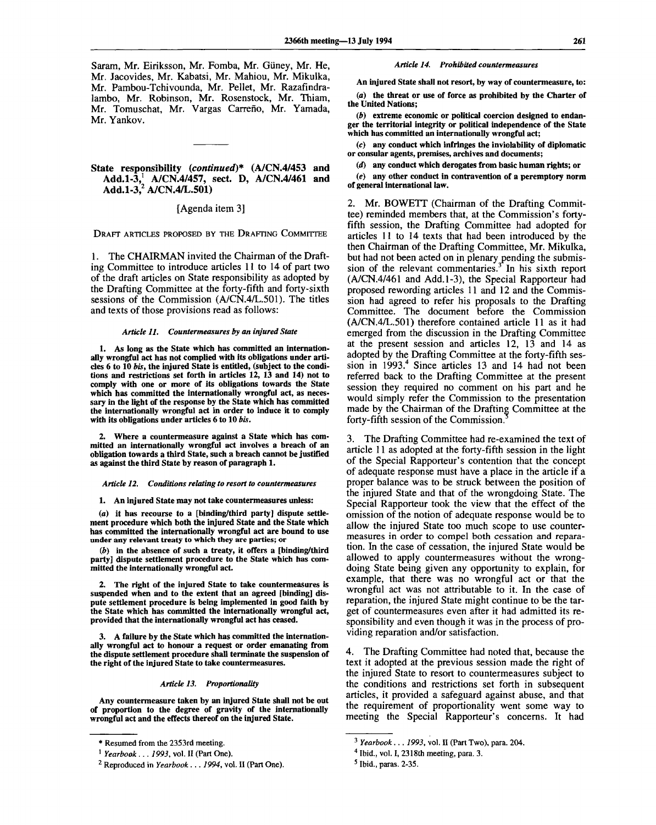Saram, Mr. Eiriksson, Mr. Fomba, Mr. Giiney, Mr. He, Mr. Jacovides, Mr. Kabatsi, Mr. Mahiou, Mr. Mikulka, Mr. Pambou-Tchivounda, Mr. Pellet, Mr. Razafindralambo, Mr. Robinson, Mr. Rosenstock, Mr. Thiam, Mr. Tomuschat, Mr. Vargas Carreño, Mr. Yamada, Mr. Yankov.

# **State responsibility** *(continued)\** **(A/CN.4/453 and Add.1-3,<sup>1</sup> A/CN.4/457, sect. D, A/CN.4/461 and Add.1-3,<sup>2</sup> A/CN.4/L.501)**

### [Agenda item 3]

DRAFT ARTICLES PROPOSED BY THE DRAFTING COMMITTEE

1. The CHAIRMAN invited the Chairman of the Drafting Committee to introduce articles 11 to 14 of part two of the draft articles on State responsibility as adopted by the Drafting Committee at the forty-fifth and forty-sixth sessions of the Commission (A/CN.4/L.501). The titles and texts of those provisions read as follows:

#### *Article 11. Countermeasures by an injured State*

**1. As long as the State which has committed an internationally wrongful act has not complied with its obligations under articles 6 to 10** *bis,* **the injured State is entitled, (subject to the conditions and restrictions set forth in articles 12, 13 and 14) not to comply with one or more of its obligations towards the State which has committed the internationally wrongful act, as necessary in the light of the response by the State which has committed the internationally wrongful act in order to induce it to comply with its obligations under articles 6 to 10** *bis.*

**2. Where a countermeasure against a State which has committed an internationally wrongful act involves a breach of an obligation towards a third State, such a breach cannot be justified as against the third State by reason of paragraph 1.**

#### *Article 12. Conditions relating to resort to countermeasures*

#### **1. An injured State may not take countermeasures unless:**

**(a) it has recourse to a [binding/third party] dispute settlement procedure which both the injured State and the State which has committed the internationally wrongful act are bound to use under any relevant treaty to which they are parties; or**

*(b)* **in the absence of such a treaty, it offers a [binding/third party] dispute settlement procedure to the State which has committed the internationally wrongful act.**

**2. The right of the injured State to take countermeasures is suspended when and to the extent that an agreed [binding] dispute settlement procedure is being implemented in good faith by the State which has committed the internationally wrongful act, provided that the internationally wrongful act has ceased.**

**3. A failure by the State which has committed the internationally wrongful act to honour a request or order emanating from the dispute settlement procedure shall terminate the suspension of the right of the injured State to take countermeasures.**

#### *Article 13. Proportionality*

**Any countermeasure taken by an injured State shall not be out of proportion to the degree of gravity of the internationally wrongful act and the effects thereof on the injured State.**

#### *Article 14. Prohibited countermeasures*

**An injured State shall not resort, by way of countermeasure, to:**

*(a)* **the threat or use of force as prohibited by the Charter of the United Nations;**

*(b)* **extreme economic or political coercion designed to endanger the territorial integrity or political independence of the State which has committed an internationally wrongful act;**

*(c)* **any conduct which infringes the inviolability of diplomatic or consular agents, premises, archives and documents;**

*(d)* **any conduct which derogates from basic human rights; or**

*(e)* **any other conduct in contravention of a peremptory norm of general international law.**

2. Mr. BOWETT (Chairman of the Drafting Committee) reminded members that, at the Commission's fortyfifth session, the Drafting Committee had adopted for articles 11 to 14 texts that had been introduced by the then Chairman of the Drafting Committee, Mr. Mikulka, but had not been acted on in plenary pending the submission of the relevant commentaries.<sup>3</sup> In his sixth report (A/CN.4/461 and Add.1-3), the Special Rapporteur had proposed rewording articles 11 and 12 and the Commission had agreed to refer his proposals to the Drafting Committee. The document before the Commission (A/CN.4/L.501) therefore contained article 11 as it had emerged from the discussion in the Drafting Committee at the present session and articles 12, 13 and 14 as adopted by the Drafting Committee at the forty-fifth session in 1993.<sup>4</sup> Since articles 13 and 14 had not been referred back to the Drafting Committee at the present session they required no comment on his part and he would simply refer the Commission to the presentation made by the Chairman of the Drafting Committee at the forty-fifth session of the Commission.

3. The Drafting Committee had re-examined the text of article 11 as adopted at the forty-fifth session in the light of the Special Rapporteur's contention that the concept of adequate response must have a place in the article if a proper balance was to be struck between the position of the injured State and that of the wrongdoing State. The Special Rapporteur took the view that the effect of the omission of the notion of adequate response would be to allow the injured State too much scope to use countermeasures in order to compel both cessation and reparation. In the case of cessation, the injured State would be allowed to apply countermeasures without the wrongdoing State being given any opportunity to explain, for example, that there was no wrongful act or that the wrongful act was not attributable to it. In the case of reparation, the injured State might continue to be the target of countermeasures even after it had admitted its responsibility and even though it was in the process of providing reparation and/or satisfaction.

4. The Drafting Committee had noted that, because the text it adopted at the previous session made the right of the injured State to resort to countermeasures subject to the conditions and restrictions set forth in subsequent articles, it provided a safeguard against abuse, and that the requirement of proportionality went some way to meeting the Special Rapporteur's concerns. It had

**<sup>\*</sup> Resumed from the 2353rd meeting.**

**<sup>1</sup>**  *Yearbook. .. 1993,* **vol. II (Part One).**

**<sup>2</sup> Reproduced in** *Yearbook* **.** *. . 1994,* **vol. II (Part One).**

**<sup>3</sup>**  *Yearbook . . . 1993,* **vol. II (Part Two), para. 204.**

**<sup>4</sup> Ibid., vol. I, 2318th meeting, para. 3.**

**<sup>5</sup> Ibid., paras. 2-35.**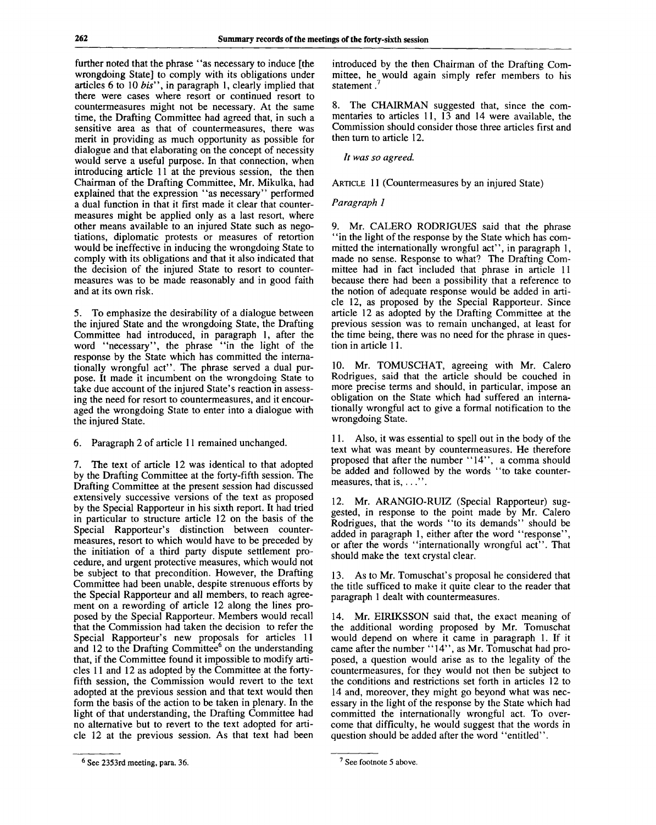further noted that the phrase "as necessary to induce [the wrongdoing State] to comply with its obligations under articles 6 to 10 *bis",* in paragraph 1, clearly implied that there were cases where resort or continued resort to countermeasures might not be necessary. At the same time, the Drafting Committee had agreed that, in such a sensitive area as that of countermeasures, there was merit in providing as much opportunity as possible for dialogue and that elaborating on the concept of necessity would serve a useful purpose. In that connection, when introducing article 11 at the previous session, the then Chairman of the Drafting Committee, Mr. Mikulka, had explained that the expression "as necessary" performed a dual function in that it first made it clear that countermeasures might be applied only as a last resort, where other means available to an injured State such as negotiations, diplomatic protests or measures of retortion would be ineffective in inducing the wrongdoing State to comply with its obligations and that it also indicated that the decision of the injured State to resort to countermeasures was to be made reasonably and in good faith and at its own risk.

5. To emphasize the desirability of a dialogue between the injured State and the wrongdoing State, the Drafting Committee had introduced, in paragraph 1, after the word "necessary", the phrase "in the light of the response by the State which has committed the internationally wrongful act". The phrase served a dual purpose. It made it incumbent on the wrongdoing State to take due account of the injured State's reaction in assessing the need for resort to countermeasures, and it encouraged the wrongdoing State to enter into a dialogue with the injured State.

6. Paragraph 2 of article 11 remained unchanged.

7. The text of article 12 was identical to that adopted by the Drafting Committee at the forty-fifth session. The Drafting Committee at the present session had discussed extensively successive versions of the text as proposed by the Special Rapporteur in his sixth report. It had tried in particular to structure article 12 on the basis of the Special Rapporteur's distinction between countermeasures, resort to which would have to be preceded by the initiation of a third party dispute settlement procedure, and urgent protective measures, which would not be subject to that precondition. However, the Drafting Committee had been unable, despite strenuous efforts by the Special Rapporteur and all members, to reach agreement on a rewording of article 12 along the lines proposed by the Special Rapporteur. Members would recall that the Commission had taken the decision to refer the Special Rapporteur's new proposals for articles 11 special Rapporteur's fiew proposals for articles 11<br>and 12 to the Drafting Committee<sup>6</sup> on the understanding that, if the Committee found it impossible to modify articles 11 and 12 as adopted by the Committee at the fortyfifth session, the Commission would revert to the text adopted at the previous session and that text would then form the basis of the action to be taken in plenary. In the light of that understanding, the Drafting Committee had no alternative but to revert to the text adopted for article 12 at the previous session. As that text had been introduced by the then Chairman of the Drafting Committee, he would again simply refer members to his statement.<sup>7</sup>

8. The CHAIRMAN suggested that, since the commentaries to articles 11, 13 and 14 were available, the Commission should consider those three articles first and then turn to article 12.

*It was so agreed.*

ARTICLE 11 (Countermeasures by an injured State)

# *Paragraph 1*

9. Mr. CALERO RODRIGUES said that the phrase "in the light of the response by the State which has committed the internationally wrongful act", in paragraph 1, made no sense. Response to what? The Drafting Committee had in fact included that phrase in article 11 because there had been a possibility that a reference to the notion of adequate response would be added in article 12, as proposed by the Special Rapporteur. Since article 12 as adopted by the Drafting Committee at the previous session was to remain unchanged, at least for the time being, there was no need for the phrase in question in article 11.

10. Mr. TOMUSCHAT, agreeing with Mr. Calero Rodrigues, said that the article should be couched in more precise terms and should, in particular, impose an obligation on the State which had suffered an internationally wrongful act to give a formal notification to the wrongdoing State.

11. Also, it was essential to spell out in the body of the text what was meant by countermeasures. He therefore proposed that after the number "14", a comma should be added and followed by the words "to take countermeasures, that is,  $\dots$ "

12. Mr. ARANGIO-RUIZ (Special Rapporteur) suggested, in response to the point made by Mr. Calero Rodrigues, that the words "to its demands" should be added in paragraph 1, either after the word "response", or after the words "internationally wrongful act". That should make the text crystal clear.

13. As to Mr. Tomuschat's proposal he considered that the title sufficed to make it quite clear to the reader that paragraph 1 dealt with countermeasures.

14. Mr. EIRIKSSON said that, the exact meaning of the additional wording proposed by Mr. Tomuschat would depend on where it came in paragraph 1. If it came after the number "14", as Mr. Tomuschat had proposed, a question would arise as to the legality of the countermeasures, for they would not then be subject to the conditions and restrictions set forth in articles 12 to 14 and, moreover, they might go beyond what was necessary in the light of the response by the State which had committed the internationally wrongful act. To overcome that difficulty, he would suggest that the words in question should be added after the word "entitled".

 $<sup>6</sup>$  See 2353rd meeting, para. 36. See footnote 5 above.</sup>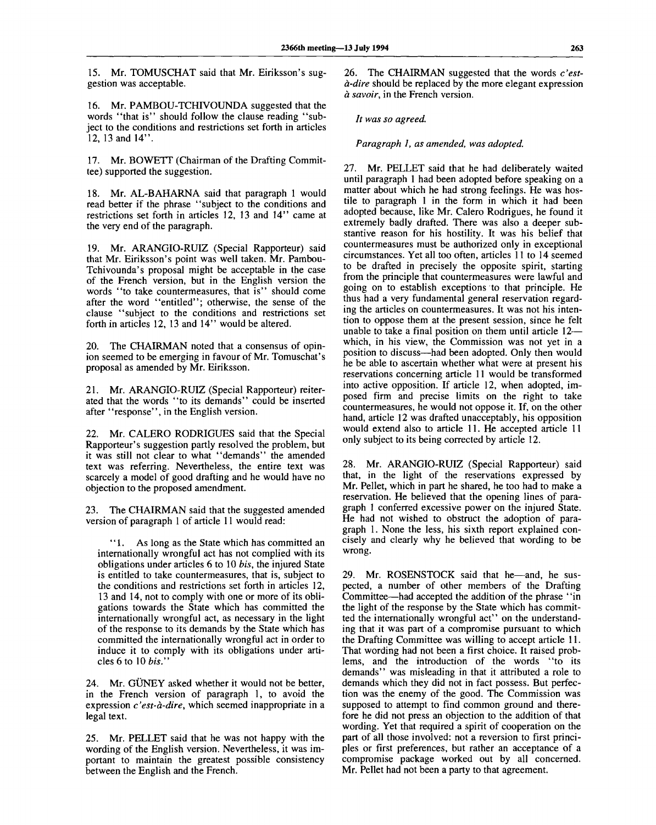15. Mr. TOMUSCHAT said that Mr. Eiriksson's suggestion was acceptable.

16. Mr. PAMBOU-TCHIVOUNDA suggested that the words "that is" should follow the clause reading "subject to the conditions and restrictions set forth in articles 12, 13 and 14".

17. Mr. BOWETT (Chairman of the Drafting Committee) supported the suggestion.

18. Mr. AL-BAHARNA said that paragraph 1 would read better if the phrase "subject to the conditions and restrictions set forth in articles 12, 13 and 14" came at the very end of the paragraph.

19. Mr. ARANGIO-RUIZ (Special Rapporteur) said that Mr. Eiriksson's point was well taken. Mr. Pambou-Tchivounda's proposal might be acceptable in the case of the French version, but in the English version the words "to take countermeasures, that is" should come after the word "entitled"; otherwise, the sense of the clause "subject to the conditions and restrictions set forth in articles 12, 13 and 14" would be altered.

20. The CHAIRMAN noted that a consensus of opinion seemed to be emerging in favour of Mr. Tomuschat's proposal as amended by Mr. Eiriksson.

21. Mr. ARANGIO-RUIZ (Special Rapporteur) reiterated that the words "to its demands" could be inserted after "response", in the English version.

22. Mr. CALERO RODRIGUES said that the Special Rapporteur's suggestion partly resolved the problem, but it was still not clear to what "demands" the amended text was referring. Nevertheless, the entire text was scarcely a model of good drafting and he would have no objection to the proposed amendment.

23. The CHAIRMAN said that the suggested amended version of paragraph 1 of article 11 would read:

"1. As long as the State which has committed an internationally wrongful act has not complied with its obligations under articles 6 to 10 *bis,* the injured State is entitled to take countermeasures, that is, subject to the conditions and restrictions set forth in articles 12, 13 and 14, not to comply with one or more of its obligations towards the State which has committed the internationally wrongful act, as necessary in the light of the response to its demands by the State which has committed the internationally wrongful act in order to induce it to comply with its obligations under articles 6 to 10 *bis."*

24. Mr. GÜNEY asked whether it would not be better, in the French version of paragraph 1, to avoid the expression *c'est-a-dire,* which seemed inappropriate in a legal text.

25. Mr. PELLET said that he was not happy with the wording of the English version. Nevertheless, it was important to maintain the greatest possible consistency between the English and the French.

26. The CHAIRMAN suggested that the words *c'esta-dire* should be replaced by the more elegant expression *a savoir,* in the French version.

*It was so agreed.*

*Paragraph 1, as amended, was adopted.*

27. Mr. PELLET said that he had deliberately waited until paragraph 1 had been adopted before speaking on a matter about which he had strong feelings. He was hostile to paragraph 1 in the form in which it had been adopted because, like Mr. Calero Rodrigues, he found it extremely badly drafted. There was also a deeper substantive reason for his hostility. It was his belief that countermeasures must be authorized only in exceptional circumstances. Yet all too often, articles 11 to 14 seemed to be drafted in precisely the opposite spirit, starting from the principle that countermeasures were lawful and going on to establish exceptions to that principle. He thus had a very fundamental general reservation regarding the articles on countermeasures. It was not his intention to oppose them at the present session, since he felt unable to take a final position on them until article 12 which, in his view, the Commission was not yet in a position to discuss—had been adopted. Only then would he be able to ascertain whether what were at present his reservations concerning article 11 would be transformed into active opposition. If article 12, when adopted, imposed firm and precise limits on the right to take countermeasures, he would not oppose it. If, on the other hand, article 12 was drafted unacceptably, his opposition would extend also to article 11. He accepted article 11 only subject to its being corrected by article 12.

28. Mr. ARANGIO-RUIZ (Special Rapporteur) said that, in the light of the reservations expressed by Mr. Pellet, which in part he shared, he too had to make a reservation. He believed that the opening lines of paragraph 1 conferred excessive power on the injured State. He had not wished to obstruct the adoption of paragraph 1. None the less, his sixth report explained concisely and clearly why he believed that wording to be wrong.

29. Mr. ROSENSTOCK said that he—and, he suspected, a number of other members of the Drafting Committee—had accepted the addition of the phrase ' 'in the light of the response by the State which has committed the internationally wrongful act" on the understanding that it was part of a compromise pursuant to which the Drafting Committee was willing to accept article 11. That wording had not been a first choice. It raised problems, and the introduction of the words "to its demands" was misleading in that it attributed a role to demands which they did not in fact possess. But perfection was the enemy of the good. The Commission was supposed to attempt to find common ground and therefore he did not press an objection to the addition of that wording. Yet that required a spirit of cooperation on the part of all those involved: not a reversion to first principles or first preferences, but rather an acceptance of a compromise package worked out by all concerned. Mr. Pellet had not been a party to that agreement.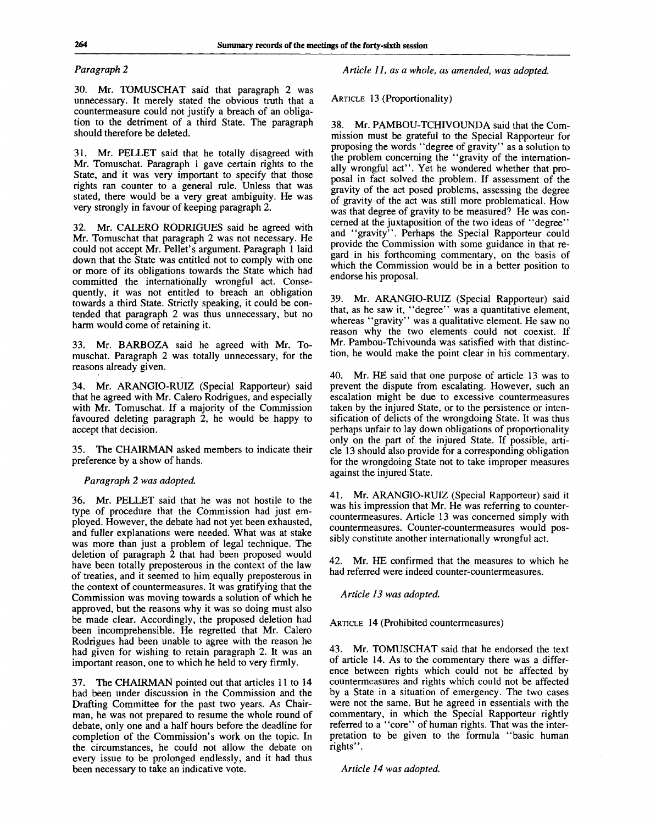## *Paragraph 2*

30. Mr. TOMUSCHAT said that paragraph 2 was unnecessary. It merely stated the obvious truth that a countermeasure could not justify a breach of an obligation to the detriment of a third State. The paragraph should therefore be deleted.

31. Mr. PELLET said that he totally disagreed with Mr. Tomuschat. Paragraph 1 gave certain rights to the State, and it was very important to specify that those rights ran counter to a general rule. Unless that was stated, there would be a very great ambiguity. He was very strongly in favour of keeping paragraph 2.

32. Mr. CALERO RODRIGUES said he agreed with Mr. Tomuschat that paragraph 2 was not necessary. He could not accept Mr. Pellet's argument. Paragraph 1 laid down that the State was entitled not to comply with one or more of its obligations towards the State which had committed the internationally wrongful act. Consequently, it was not entitled to breach an obligation towards a third State. Strictly speaking, it could be contended that paragraph 2 was thus unnecessary, but no harm would come of retaining it.

33. Mr. BARBOZA said he agreed with Mr. Tomuschat. Paragraph 2 was totally unnecessary, for the reasons already given.

34. Mr. ARANGIO-RUIZ (Special Rapporteur) said that he agreed with Mr. Calero Rodrigues, and especially with Mr. Tomuschat. If a majority of the Commission favoured deleting paragraph 2, he would be happy to accept that decision.

35. The CHAIRMAN asked members to indicate their preference by a show of hands.

# *Paragraph 2 was adopted.*

36. Mr. PELLET said that he was not hostile to the type of procedure that the Commission had just employed. However, the debate had not yet been exhausted, and fuller explanations were needed. What was at stake was more than just a problem of legal technique. The deletion of paragraph 2 that had been proposed would have been totally preposterous in the context of the law of treaties, and it seemed to him equally preposterous in the context of countermeasures. It was gratifying that the Commission was moving towards a solution of which he approved, but the reasons why it was so doing must also be made clear. Accordingly, the proposed deletion had been incomprehensible. He regretted that Mr. Calero Rodrigues had been unable to agree with the reason he had given for wishing to retain paragraph 2. It was an important reason, one to which he held to very firmly.

37. The CHAIRMAN pointed out that articles 11 to 14 had been under discussion in the Commission and the Drafting Committee for the past two years. As Chairman, he was not prepared to resume the whole round of debate, only one and a half hours before the deadline for completion of the Commission's work on the topic. In the circumstances, he could not allow the debate on every issue to be prolonged endlessly, and it had thus been necessary to take an indicative vote.

*Article 11, as a whole, as amended, was adopted.*

ARTICLE 13 (Proportionality)

38. Mr. PAMBOU-TCHIVOUNDA said that the Commission must be grateful to the Special Rapporteur for proposing the words "degree of gravity" as a solution to the problem concerning the "gravity of the internationally wrongful act". Yet he wondered whether that proposal in fact solved the problem. If assessment of the gravity of the act posed problems, assessing the degree of gravity of the act was still more problematical. How was that degree of gravity to be measured? He was concerned at the juxtaposition of the two ideas of "degree" and "gravity". Perhaps the Special Rapporteur could provide the Commission with some guidance in that regard in his forthcoming commentary, on the basis of which the Commission would be in a better position to endorse his proposal.

39. Mr. ARANGIO-RUIZ (Special Rapporteur) said that, as he saw it, "degree" was a quantitative element, whereas "gravity" was a qualitative element. He saw no reason why the two elements could not coexist. If Mr. Pambou-Tchivounda was satisfied with that distinction, he would make the point clear in his commentary.

40. Mr. HE said that one purpose of article 13 was to prevent the dispute from escalating. However, such an escalation might be due to excessive countermeasures taken by the injured State, or to the persistence or intensification of delicts of the wrongdoing State. It was thus perhaps unfair to lay down obligations of proportionality only on the part of the injured State. If possible, article 13 should also provide for a corresponding obligation for the wrongdoing State not to take improper measures against the injured State.

41. Mr. ARANGIO-RUIZ (Special Rapporteur) said it was his impression that Mr. He was referring to countercountermeasures. Article 13 was concerned simply with countermeasures. Counter-countermeasures would possibly constitute another internationally wrongful act.

42. Mr. HE confirmed that the measures to which he had referred were indeed counter-countermeasures.

*Article 13 was adopted.*

ARTICLE 14 (Prohibited countermeasures)

43. Mr. TOMUSCHAT said that he endorsed the text of article 14. As to the commentary there was a difference between rights which could not be affected by countermeasures and rights which could not be affected by a State in a situation of emergency. The two cases were not the same. But he agreed in essentials with the commentary, in which the Special Rapporteur rightly referred to a "core" of human rights. That was the interpretation to be given to the formula "basic human rights".

*Article 14 was adopted.*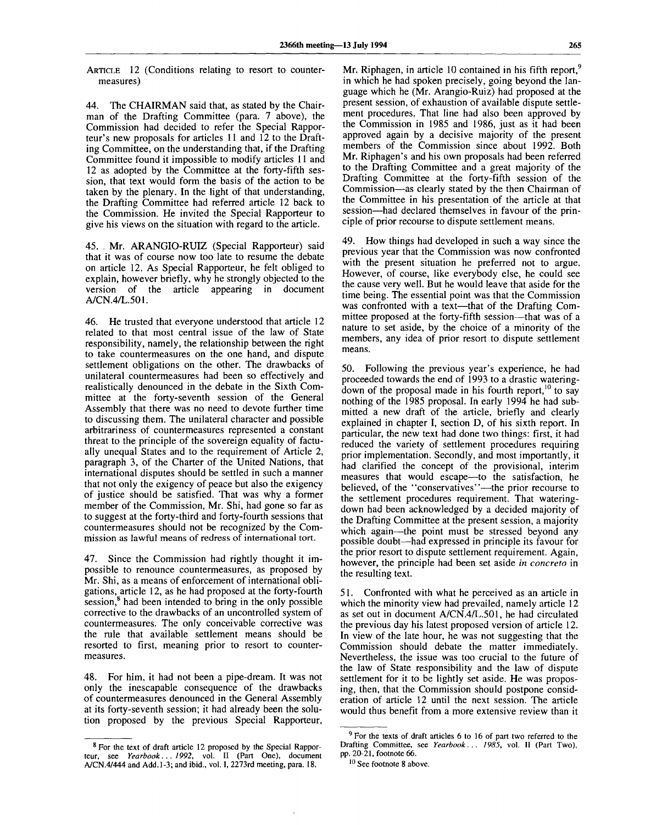ARTICLE 12 (Conditions relating to resort to countermeasures)

44. The CHAIRMAN said that, as stated by the Chairman of the Drafting Committee (para. 7 above), the Commission had decided to refer the Special Rapporteur's new proposals for articles 11 and 12 to the Drafting Committee, on the understanding that, if the Drafting Committee found it impossible to modify articles 11 and 12 as adopted by the Committee at the forty-fifth session, that text would form the basis of the action to be taken by the plenary. In the light of that understanding, the Drafting Committee had referred article 12 back to the Commission. He invited the Special Rapporteur to give his views on the situation with regard to the article.

45. Mr. ARANGIO-RUIZ (Special Rapporteur) said that it was of course now too late to resume the debate on article 12. As Special Rapporteur, he felt obliged to explain, however briefly, why he strongly objected to the version of the article appearing in document A/CN.4/L.501.

46. He trusted that everyone understood that article 12 related to that most central issue of the law of State responsibility, namely, the relationship between the right to take countermeasures on the one hand, and dispute settlement obligations on the other. The drawbacks of unilateral countermeasures had been so effectively and realistically denounced in the debate in the Sixth Committee at the forty-seventh session of the General Assembly that there was no need to devote further time to discussing them. The unilateral character and possible arbitrariness of countermeasures represented a constant threat to the principle of the sovereign equality of factually unequal States and to the requirement of Article 2, paragraph 3, of the Charter of the United Nations, that international disputes should be settled in such a manner that not only the exigency of peace but also the exigency of justice should be satisfied. That was why a former member of the Commission, Mr. Shi, had gone so far as to suggest at the forty-third and forty-fourth sessions that countermeasures should not be recognized by the Commission as lawful means of redress of international tort.

47. Since the Commission had rightly thought it impossible to renounce countermeasures, as proposed by Mr. Shi, as a means of enforcement of international obligations, article 12, as he had proposed at the forty-fourth  $s$ ession,<sup>8</sup> had been intended to bring in the only possible corrective to the drawbacks of an uncontrolled system of countermeasures. The only conceivable corrective was the rule that available settlement means should be resorted to first, meaning prior to resort to countermeasures.

48. For him, it had not been a pipe-dream. It was not only the inescapable consequence of the drawbacks of countermeasures denounced in the General Assembly at its forty-seventh session; it had already been the solution proposed by the previous Special Rapporteur,

Mr. Riphagen, in article 10 contained in his fifth report,<sup>9</sup> in which he had spoken precisely, going beyond the language which he (Mr. Arangio-Ruiz) had proposed at the present session, of exhaustion of available dispute settlement procedures. That line had also been approved by the Commission in 1985 and 1986, just as it had been approved again by a decisive majority of the present members of the Commission since about 1992. Both Mr. Riphagen's and his own proposals had been referred to the Drafting Committee and a great majority of the Drafting Committee at the forty-fifth session of the Commission—as clearly stated by the then Chairman of the Committee in his presentation of the article at that session—had declared themselves in favour of the principle of prior recourse to dispute settlement means.

49. How things had developed in such a way since the previous year that the Commission was now confronted with the present situation he preferred not to argue. However, of course, like everybody else, he could see the cause very well. But he would leave that aside for the time being. The essential point was that the Commission was confronted with a text—that of the Drafting Committee proposed at the forty-fifth session—that was of a nature to set aside, by the choice of a minority of the members, any idea of prior resort to dispute settlement means.

50. Following the previous year's experience, he had proceeded towards the end of 1993 to a drastic wateringdown of the proposal made in his fourth report,  $10$  to say nothing of the 1985 proposal. In early 1994 he had submitted a new draft of the article, briefly and clearly explained in chapter I, section D, of his sixth report. In particular, the new text had done two things: first, it had reduced the variety of settlement procedures requiring prior implementation. Secondly, and most importantly, it had clarified the concept of the provisional, interim measures that would escape—to the satisfaction, he believed, of the "conservatives"—the prior recourse to the settlement procedures requirement. That wateringdown had been acknowledged by a decided majority of the Drafting Committee at the present session, a majority which again—the point must be stressed beyond any possible doubt—had expressed in principle its favour for the prior resort to dispute settlement requirement. Again, however, the principle had been set aside *in concreto* in the resulting text.

51. Confronted with what he perceived as an article in which the minority view had prevailed, namely article 12 as set out in document A/CN.4/L.501, he had circulated the previous day his latest proposed version of article 12. In view of the late hour, he was not suggesting that the Commission should debate the matter immediately. Nevertheless, the issue was too crucial to the future of the law of State responsibility and the law of dispute settlement for it to be lightly set aside. He was proposing, then, that the Commission should postpone consideration of article 12 until the next session. The article would thus benefit from a more extensive review than it

<sup>&</sup>lt;sup>8</sup> For the text of draft article 12 proposed by the Special Rapporteur, see *Yearbook. . . 1992,* vol. II (Part One), document A/CN.4/444 and Add. 1-3; and ibid., vol. I, 2273rd meeting, para. 18.

<sup>&</sup>lt;sup>9</sup> For the texts of draft articles 6 to 16 of part two referred to the Drafting Committee, see *Yearbook... 1985,* vol. II (Part Two), pp. 20-21, footnote 66.

<sup>&</sup>lt;sup>10</sup> See footnote 8 above.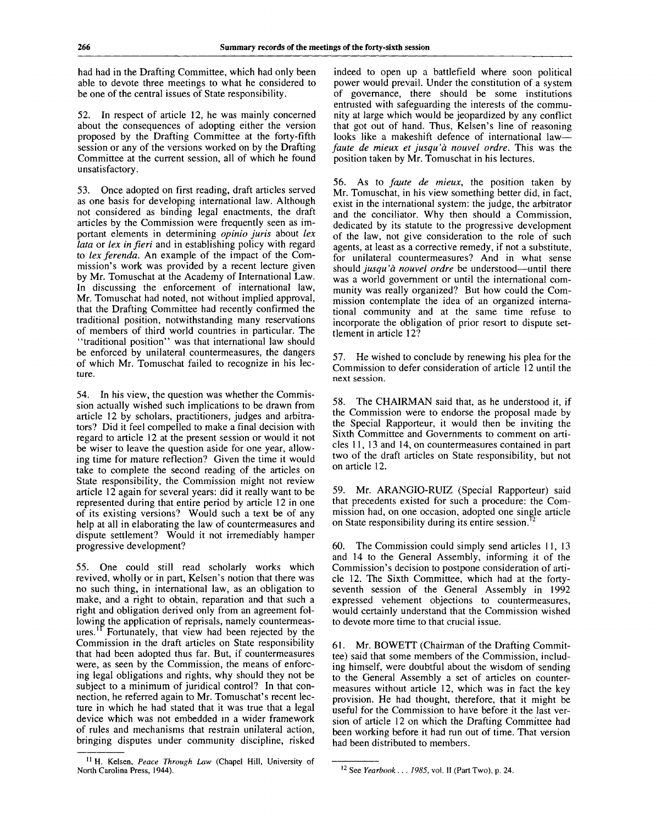had had in the Drafting Committee, which had only been able to devote three meetings to what he considered to be one of the central issues of State responsibility.

52. In respect of article 12, he was mainly concerned about the consequences of adopting either the version proposed by the Drafting Committee at the forty-fifth session or any of the versions worked on by the Drafting Committee at the current session, all of which he found unsatisfactory.

53. Once adopted on first reading, draft articles served as one basis for developing international law. Although not considered as binding legal enactments, the draft articles by the Commission were frequently seen as important elements in determining *opinio juris* about *lex lata* or *lex in fieri* and in establishing policy with regard to *lex ferenda.* An example of the impact of the Commission's work was provided by a recent lecture given by Mr. Tomuschat at the Academy of International Law. In discussing the enforcement of international law, Mr. Tomuschat had noted, not without implied approval, that the Drafting Committee had recently confirmed the traditional position, notwithstanding many reservations of members of third world countries in particular. The "traditional position" was that international law should be enforced by unilateral countermeasures, the dangers of which Mr. Tomuschat failed to recognize in his lecture.

54. In his view, the question was whether the Commission actually wished such implications to be drawn from article 12 by scholars, practitioners, judges and arbitrators? Did it feel compelled to make a final decision with regard to article 12 at the present session or would it not be wiser to leave the question aside for one year, allowing time for mature reflection? Given the time it would take to complete the second reading of the articles on State responsibility, the Commission might not review article 12 again for several years: did it really want to be represented during that entire period by article 12 in one of its existing versions? Would such a text be of any help at all in elaborating the law of countermeasures and dispute settlement? Would it not irremediably hamper progressive development?

55. One could still read scholarly works which revived, wholly or in part, Kelsen's notion that there was no such thing, in international law, as an obligation to make, and a right to obtain, reparation and that such a right and obligation derived only from an agreement following the application of reprisals, namely countermeasures.<sup>11</sup> Fortunately, that view had been rejected by the Commission in the draft articles on State responsibility that had been adopted thus far. But, if countermeasures were, as seen by the Commission, the means of enforcing legal obligations and rights, why should they not be subject to a minimum of juridical control? In that connection, he referred again to Mr. Tomuschat's recent lecture in which he had stated that it was true that a legal device which was not embedded in a wider framework of rules and mechanisms that restrain unilateral action, bringing disputes under community discipline, risked indeed to open up a battlefield where soon political power would prevail. Under the constitution of a system of governance, there should be some institutions entrusted with safeguarding the interests of the community at large which would be jeopardized by any conflict that got out of hand. Thus, Kelsen's line of reasoning looks like a makeshift defence of international law *faute de mieux et jusqu'a nouvel ordre.* This was the position taken by Mr. Tomuschat in his lectures.

56. As to *fajute de mieux,* the position taken by Mr. Tomuschat, in his view something better did, in fact, exist in the international system: the judge, the arbitrator and the conciliator. Why then should a Commission, dedicated by its statute to the progressive development of the law, not give consideration to the role of such agents, at least as a corrective remedy, if not a substitute, for unilateral countermeasures? And in what sense *should jusqu'a nouvel ordre* be understood—until there was a world government or until the international community was really organized? But how could the Commission contemplate the idea of an organized international community and at the same time refuse to incorporate the obligation of prior resort to dispute settlement in article 12?

57. He wished to conclude by renewing his plea for the Commission to defer consideration of article 12 until the next session.

58. The CHAIRMAN said that, as he understood it, if the Commission were to endorse the proposal made by the Special Rapporteur, it would then be inviting the Sixth Committee and Governments to comment on articles 11,13 and 14, on countermeasures contained in part two of the draft articles on State responsibility, but not on article 12.

59. Mr. ARANGIO-RUIZ (Special Rapporteur) said that precedents existed for such a procedure: the Commission had, on one occasion, adopted one single article on State responsibility during its entire session.<sup>12</sup>

60. The Commission could simply send articles 11,13 and 14 to the General Assembly, informing it of the Commission's decision to postpone consideration of article 12. The Sixth Committee, which had at the fortyseventh session of the General Assembly in 1992 expressed vehement objections to countermeasures, would certainly understand that the Commission wished to devote more time to that crucial issue.

61. Mr. BOWETT (Chairman of the Drafting Committee) said that some members of the Commission, including himself, were doubtful about the wisdom of sending to the General Assembly a set of articles on countermeasures without article 12, which was in fact the key provision. He had thought, therefore, that it might be useful for the Commission to have before it the last version of article 12 on which the Drafting Committee had been working before it had run out of time. That version had been distributed to members.

<sup>11</sup> H. Kelsen, *Peace Through Law* (Chapel Hill, University of North Carolina Press, 1944).

<sup>12</sup> See *Yearbook . . . 1985,* vol. II (Part Two), p. 24.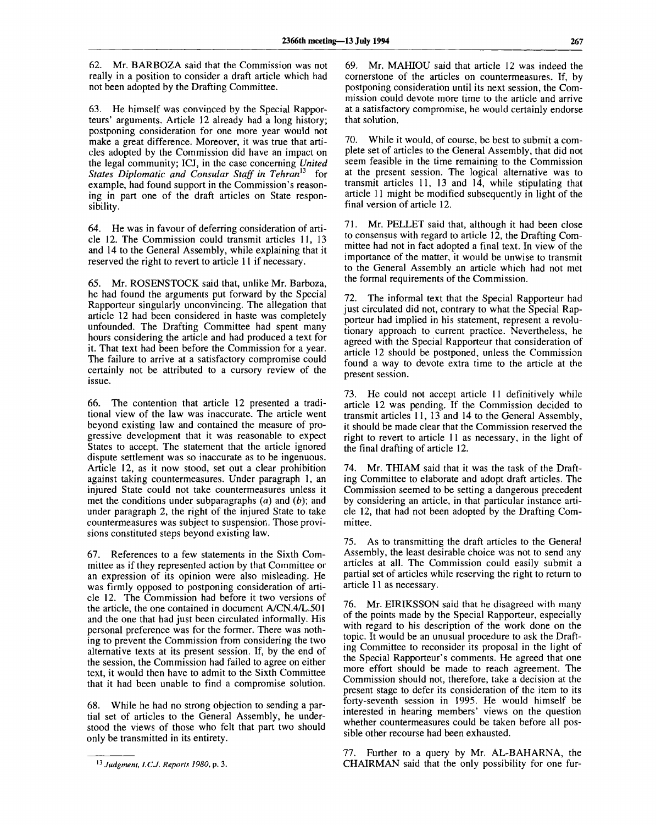62. Mr. BARBOZA said that the Commission was not really in a position to consider a draft article which had not been adopted by the Drafting Committee.

63. He himself was convinced by the Special Rapporteurs' arguments. Article 12 already had a long history; postponing consideration for one more year would not make a great difference. Moreover, it was true that articles adopted by the Commission did have an impact on the legal community; ICJ, in the case concerning *United States Diplomatic and Consular Staff in Tehran<sup>13</sup>* for example, had found support in the Commission's reasoning in part one of the draft articles on State responsibility.

64. He was in favour of deferring consideration of article 12. The Commission could transmit articles 11, 13 and 14 to the General Assembly, while explaining that it reserved the right to revert to article 11 if necessary.

65. Mr. ROSENSTOCK said that, unlike Mr. Barboza, he had found the arguments put forward by the Special Rapporteur singularly unconvincing. The allegation that article 12 had been considered in haste was completely unfounded. The Drafting Committee had spent many hours considering the article and had produced a text for it. That text had been before the Commission for a year. The failure to arrive at a satisfactory compromise could certainly not be attributed to a cursory review of the issue.

66. The contention that article 12 presented a traditional view of the law was inaccurate. The article went beyond existing law and contained the measure of progressive development that it was reasonable to expect States to accept. The statement that the article ignored dispute settlement was so inaccurate as to be ingenuous. Article 12, as it now stood, set out a clear prohibition against taking countermeasures. Under paragraph 1, an injured State could not take countermeasures unless it met the conditions under subparagraphs (a) and *(b);* and under paragraph 2, the right of the injured State to take countermeasures was subject to suspension. Those provisions constituted steps beyond existing law.

67. References to a few statements in the Sixth Committee as if they represented action by that Committee or an expression of its opinion were also misleading. He was firmly opposed to postponing consideration of article 12. The Commission had before it two versions of the article, the one contained in document A/CN.4/L.501 and the one that had just been circulated informally. His personal preference was for the former. There was nothing to prevent the Commission from considering the two alternative texts at its present session. If, by the end of the session, the Commission had failed to agree on either text, it would then have to admit to the Sixth Committee that it had been unable to find a compromise solution.

68. While he had no strong objection to sending a partial set of articles to the General Assembly, he understood the views of those who felt that part two should only be transmitted in its entirety.

69. Mr. MAHIOU said that article 12 was indeed the cornerstone of the articles on countermeasures. If, by postponing consideration until its next session, the Commission could devote more time to the article and arrive at a satisfactory compromise, he would certainly endorse that solution.

70. While it would, of course, be best to submit a complete set of articles to the General Assembly, that did not seem feasible in the time remaining to the Commission at the present session. The logical alternative was to transmit articles 11, 13 and 14, while stipulating that article 11 might be modified subsequently in light of the final version of article 12.

71. Mr. PELLET said that, although it had been close to consensus with regard to article 12, the Drafting Committee had not in fact adopted a final text. In view of the importance of the matter, it would be unwise to transmit to the General Assembly an article which had not met the formal requirements of the Commission.

72. The informal text that the Special Rapporteur had just circulated did not, contrary to what the Special Rapporteur had implied in his statement, represent a revolutionary approach to current practice. Nevertheless, he agreed with the Special Rapporteur that consideration of article 12 should be postponed, unless the Commission found a way to devote extra time to the article at the present session.

73. He could not accept article 11 definitively while article 12 was pending. If the Commission decided to transmit articles 11,13 and 14 to the General Assembly, it should be made clear that the Commission reserved the right to revert to article 11 as necessary, in the light of the final drafting of article 12.

74. Mr. THIAM said that it was the task of the Drafting Committee to elaborate and adopt draft articles. The Commission seemed to be setting a dangerous precedent by considering an article, in that particular instance article 12, that had not been adopted by the Drafting Committee.

75. As to transmitting the draft articles to the General Assembly, the least desirable choice was not to send any articles at all. The Commission could easily submit a partial set of articles while reserving the right to return to article 11 as necessary.

76. Mr. EIRIKSSON said that he disagreed with many of the points made by the Special Rapporteur, especially with regard to his description of the work done on the topic. It would be an unusual procedure to ask the Drafting Committee to reconsider its proposal in the light of the Special Rapporteur's comments. He agreed that one more effort should be made to reach agreement. The Commission should not, therefore, take a decision at the present stage to defer its consideration of the item to its forty-seventh session in 1995. He would himself be interested in hearing members' views on the question whether countermeasures could be taken before all possible other recourse had been exhausted.

77. Further to a query by Mr. AL-BAHARNA, the CHAIRMAN said that the only possibility for one fur-

<sup>13</sup>  *Judgment, l.C.J. Reports 1980,* p. 3.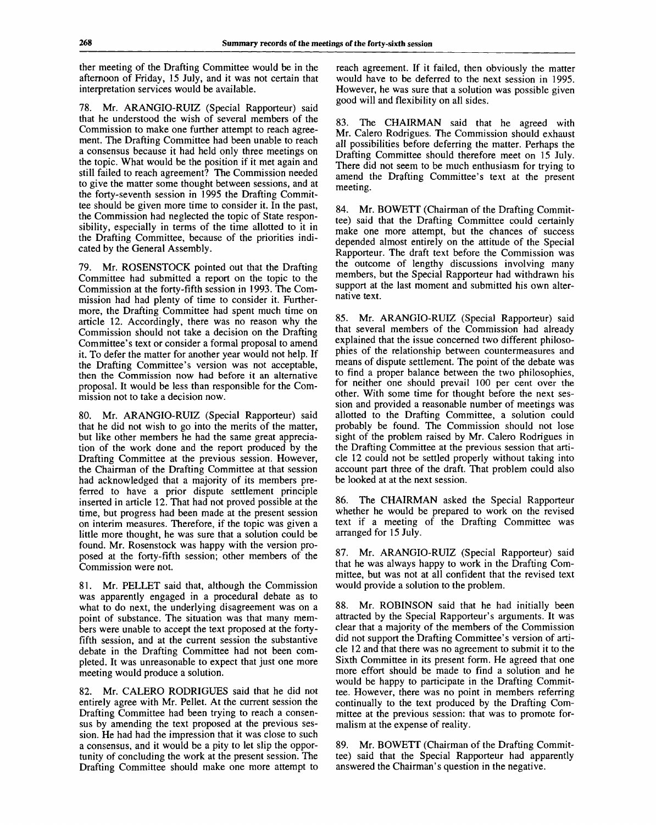ther meeting of the Drafting Committee would be in the afternoon of Friday, 15 July, and it was not certain that interpretation services would be available.

78. Mr. ARANGIO-RUIZ (Special Rapporteur) said that he understood the wish of several members of the Commission to make one further attempt to reach agreement. The Drafting Committee had been unable to reach a consensus because it had held only three meetings on the topic. What would be the position if it met again and still failed to reach agreement? The Commission needed to give the matter some thought between sessions, and at the forty-seventh session in 1995 the Drafting Committee should be given more time to consider it. In the past, the Commission had neglected the topic of State responsibility, especially in terms of the time allotted to it in the Drafting Committee, because of the priorities indicated by the General Assembly.

79. Mr. ROSENSTOCK pointed out that the Drafting Committee had submitted a report on the topic to the Commission at the forty-fifth session in 1993. The Commission had had plenty of time to consider it. Furthermore, the Drafting Committee had spent much time on article 12. Accordingly, there was no reason why the Commission should not take a decision on the Drafting Committee's text or consider a formal proposal to amend it. To defer the matter for another year would not help. If the Drafting Committee's version was not acceptable, then the Commission now had before it an alternative proposal. It would be less than responsible for the Commission not to take a decision now.

80. Mr. ARANGIO-RUIZ (Special Rapporteur) said that he did not wish to go into the merits of the matter, but like other members he had the same great appreciation of the work done and the report produced by the Drafting Committee at the previous session. However, the Chairman of the Drafting Committee at that session had acknowledged that a majority of its members preferred to have a prior dispute settlement principle inserted in article 12. That had not proved possible at the time, but progress had been made at the present session on interim measures. Therefore, if the topic was given a little more thought, he was sure that a solution could be found. Mr. Rosenstock was happy with the version proposed at the forty-fifth session; other members of the Commission were not.

81. Mr. PELLET said that, although the Commission was apparently engaged in a procedural debate as to what to do next, the underlying disagreement was on a point of substance. The situation was that many members were unable to accept the text proposed at the fortyfifth session, and at the current session the substantive debate in the Drafting Committee had not been completed. It was unreasonable to expect that just one more meeting would produce a solution.

82. Mr. CALERO RODRIGUES said that he did not entirely agree with Mr. Pellet. At the current session the Drafting Committee had been trying to reach a consensus by amending the text proposed at the previous session. He had had the impression that it was close to such a consensus, and it would be a pity to let slip the opportunity of concluding the work at the present session. The Drafting Committee should make one more attempt to reach agreement. If it failed, then obviously the matter would have to be deferred to the next session in 1995. However, he was sure that a solution was possible given good will and flexibility on all sides.

83. The CHAIRMAN said that he agreed with Mr. Calero Rodrigues. The Commission should exhaust all possibilities before deferring the matter. Perhaps the Drafting Committee should therefore meet on 15 July. There did not seem to be much enthusiasm for trying to amend the Drafting Committee's text at the present meeting.

84. Mr. BOWETT (Chairman of the Drafting Committee) said that the Drafting Committee could certainly make one more attempt, but the chances of success depended almost entirely on the attitude of the Special Rapporteur. The draft text before the Commission was the outcome of lengthy discussions involving many members, but the Special Rapporteur had withdrawn his support at the last moment and submitted his own alternative text.

85. Mr. ARANGIO-RUIZ (Special Rapporteur) said that several members of the Commission had already explained that the issue concerned two different philosophies of the relationship between countermeasures and means of dispute settlement. The point of the debate was to find a proper balance between the two philosophies, for neither one should prevail 100 per cent over the other. With some time for thought before the next session and provided a reasonable number of meetings was allotted to the Drafting Committee, a solution could probably be found. The Commission should not lose sight of the problem raised by Mr. Calero Rodrigues in the Drafting Committee at the previous session that article 12 could not be settled properly without taking into account part three of the draft. That problem could also be looked at at the next session.

86. The CHAIRMAN asked the Special Rapporteur whether he would be prepared to work on the revised text if a meeting of the Drafting Committee was arranged for 15 July.

87. Mr. ARANGIO-RUIZ (Special Rapporteur) said that he was always happy to work in the Drafting Committee, but was not at all confident that the revised text would provide a solution to the problem.

88. Mr. ROBINSON said that he had initially been attracted by the Special Rapporteur's arguments. It was clear that a majority of the members of the Commission did not support the Drafting Committee's version of article 12 and that there was no agreement to submit it to the Sixth Committee in its present form. He agreed that one more effort should be made to find a solution and he would be happy to participate in the Drafting Committee. However, there was no point in members referring continually to the text produced by the Drafting Committee at the previous session: that was to promote formalism at the expense of reality.

89. Mr. BOWETT (Chairman of the Drafting Committee) said that the Special Rapporteur had apparently answered the Chairman's question in the negative.